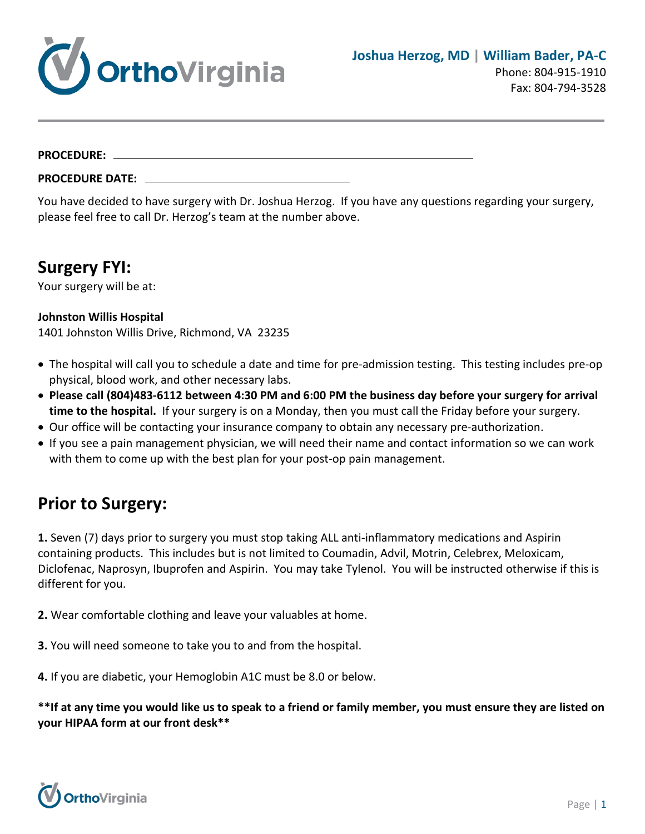

#### **PROCEDURE:**

**PROCEDURE DATE:**

You have decided to have surgery with Dr. Joshua Herzog. If you have any questions regarding your surgery, please feel free to call Dr. Herzog's team at the number above.

#### **Surgery FYI:**

Your surgery will be at:

#### **Johnston Willis Hospital**

1401 Johnston Willis Drive, Richmond, VA 23235

- The hospital will call you to schedule a date and time for pre-admission testing. This testing includes pre-op physical, blood work, and other necessary labs.
- **Please call (804)483-6112 between 4:30 PM and 6:00 PM the business day before your surgery for arrival time to the hospital.** If your surgery is on a Monday, then you must call the Friday before your surgery.
- Our office will be contacting your insurance company to obtain any necessary pre-authorization.
- If you see a pain management physician, we will need their name and contact information so we can work with them to come up with the best plan for your post-op pain management.

#### **Prior to Surgery:**

**1.** Seven (7) days prior to surgery you must stop taking ALL anti-inflammatory medications and Aspirin containing products. This includes but is not limited to Coumadin, Advil, Motrin, Celebrex, Meloxicam, Diclofenac, Naprosyn, Ibuprofen and Aspirin. You may take Tylenol. You will be instructed otherwise if this is different for you.

**2.** Wear comfortable clothing and leave your valuables at home.

**3.** You will need someone to take you to and from the hospital.

**4.** If you are diabetic, your Hemoglobin A1C must be 8.0 or below.

**\*\*If at any time you would like us to speak to a friend or family member, you must ensure they are listed on your HIPAA form at our front desk\*\***

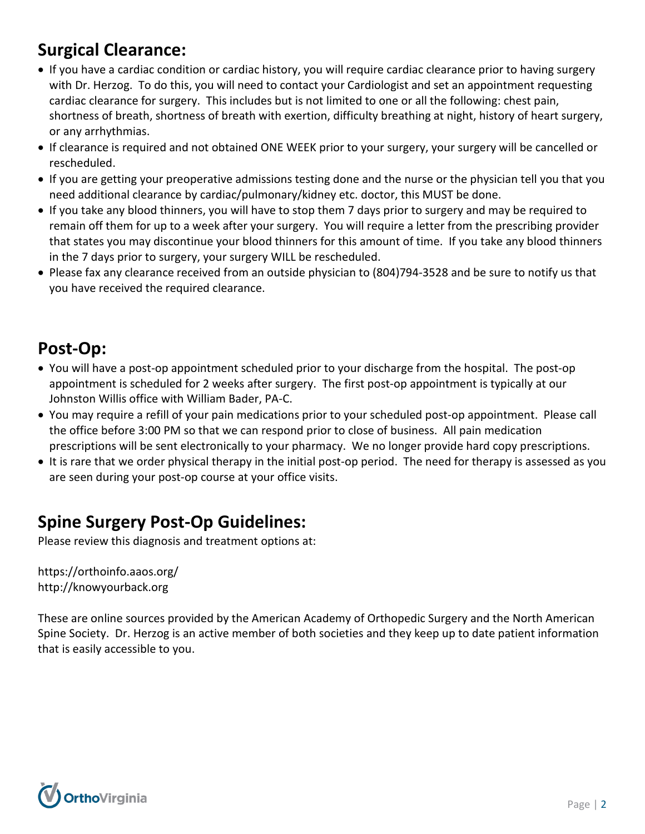# **Surgical Clearance:**

- If you have a cardiac condition or cardiac history, you will require cardiac clearance prior to having surgery with Dr. Herzog. To do this, you will need to contact your Cardiologist and set an appointment requesting cardiac clearance for surgery. This includes but is not limited to one or all the following: chest pain, shortness of breath, shortness of breath with exertion, difficulty breathing at night, history of heart surgery, or any arrhythmias.
- If clearance is required and not obtained ONE WEEK prior to your surgery, your surgery will be cancelled or rescheduled.
- If you are getting your preoperative admissions testing done and the nurse or the physician tell you that you need additional clearance by cardiac/pulmonary/kidney etc. doctor, this MUST be done.
- If you take any blood thinners, you will have to stop them 7 days prior to surgery and may be required to remain off them for up to a week after your surgery. You will require a letter from the prescribing provider that states you may discontinue your blood thinners for this amount of time. If you take any blood thinners in the 7 days prior to surgery, your surgery WILL be rescheduled.
- Please fax any clearance received from an outside physician to (804)794-3528 and be sure to notify us that you have received the required clearance.

## **Post-Op:**

- You will have a post-op appointment scheduled prior to your discharge from the hospital. The post-op appointment is scheduled for 2 weeks after surgery. The first post-op appointment is typically at our Johnston Willis office with William Bader, PA-C.
- You may require a refill of your pain medications prior to your scheduled post-op appointment. Please call the office before 3:00 PM so that we can respond prior to close of business. All pain medication prescriptions will be sent electronically to your pharmacy. We no longer provide hard copy prescriptions.
- It is rare that we order physical therapy in the initial post-op period. The need for therapy is assessed as you are seen during your post-op course at your office visits.

## **Spine Surgery Post-Op Guidelines:**

Please review this diagnosis and treatment options at:

<https://orthoinfo.aaos.org/> [http://knowyourback.org](http://knowyourback.org/)

These are online sources provided by the American Academy of Orthopedic Surgery and the North American Spine Society. Dr. Herzog is an active member of both societies and they keep up to date patient information that is easily accessible to you.

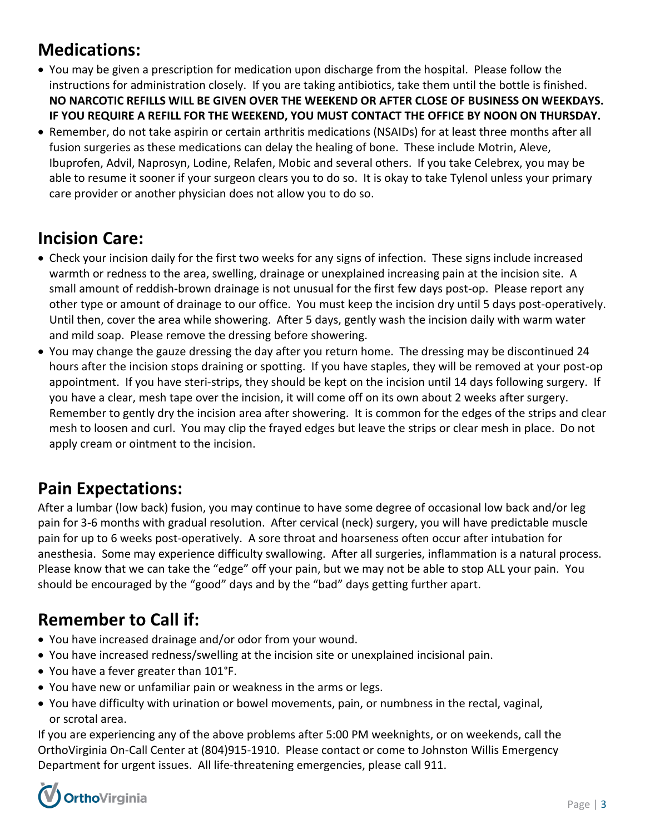## **Medications:**

- You may be given a prescription for medication upon discharge from the hospital. Please follow the instructions for administration closely. If you are taking antibiotics, take them until the bottle is finished. **NO NARCOTIC REFILLS WILL BE GIVEN OVER THE WEEKEND OR AFTER CLOSE OF BUSINESS ON WEEKDAYS. IF YOU REQUIRE A REFILL FOR THE WEEKEND, YOU MUST CONTACT THE OFFICE BY NOON ON THURSDAY.**
- Remember, do not take aspirin or certain arthritis medications (NSAIDs) for at least three months after all fusion surgeries as these medications can delay the healing of bone. These include Motrin, Aleve, Ibuprofen, Advil, Naprosyn, Lodine, Relafen, Mobic and several others. If you take Celebrex, you may be able to resume it sooner if your surgeon clears you to do so. It is okay to take Tylenol unless your primary care provider or another physician does not allow you to do so.

#### **Incision Care:**

- Check your incision daily for the first two weeks for any signs of infection. These signs include increased warmth or redness to the area, swelling, drainage or unexplained increasing pain at the incision site. A small amount of reddish-brown drainage is not unusual for the first few days post-op. Please report any other type or amount of drainage to our office. You must keep the incision dry until 5 days post-operatively. Until then, cover the area while showering. After 5 days, gently wash the incision daily with warm water and mild soap. Please remove the dressing before showering.
- You may change the gauze dressing the day after you return home. The dressing may be discontinued 24 hours after the incision stops draining or spotting. If you have staples, they will be removed at your post-op appointment. If you have steri-strips, they should be kept on the incision until 14 days following surgery. If you have a clear, mesh tape over the incision, it will come off on its own about 2 weeks after surgery. Remember to gently dry the incision area after showering. It is common for the edges of the strips and clear mesh to loosen and curl. You may clip the frayed edges but leave the strips or clear mesh in place. Do not apply cream or ointment to the incision.

## **Pain Expectations:**

After a lumbar (low back) fusion, you may continue to have some degree of occasional low back and/or leg pain for 3-6 months with gradual resolution. After cervical (neck) surgery, you will have predictable muscle pain for up to 6 weeks post-operatively. A sore throat and hoarseness often occur after intubation for anesthesia. Some may experience difficulty swallowing. After all surgeries, inflammation is a natural process. Please know that we can take the "edge" off your pain, but we may not be able to stop ALL your pain. You should be encouraged by the "good" days and by the "bad" days getting further apart.

# **Remember to Call if:**

- You have increased drainage and/or odor from your wound.
- You have increased redness/swelling at the incision site or unexplained incisional pain.
- You have a fever greater than 101°F.
- You have new or unfamiliar pain or weakness in the arms or legs.
- You have difficulty with urination or bowel movements, pain, or numbness in the rectal, vaginal, or scrotal area.

If you are experiencing any of the above problems after 5:00 PM weeknights, or on weekends, call the OrthoVirginia On-Call Center at (804)915-1910. Please contact or come to Johnston Willis Emergency Department for urgent issues. All life-threatening emergencies, please call 911.

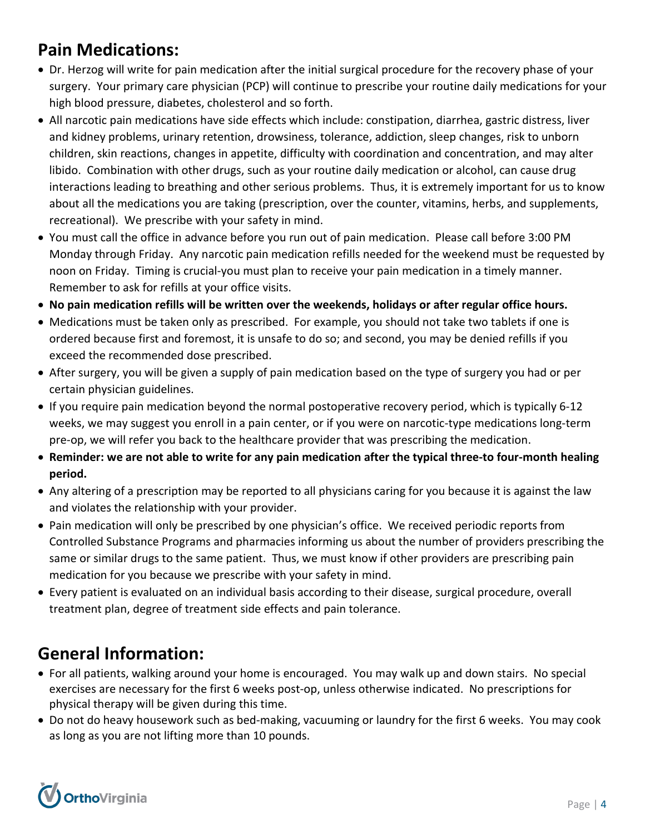## **Pain Medications:**

- Dr. Herzog will write for pain medication after the initial surgical procedure for the recovery phase of your surgery. Your primary care physician (PCP) will continue to prescribe your routine daily medications for your high blood pressure, diabetes, cholesterol and so forth.
- All narcotic pain medications have side effects which include: constipation, diarrhea, gastric distress, liver and kidney problems, urinary retention, drowsiness, tolerance, addiction, sleep changes, risk to unborn children, skin reactions, changes in appetite, difficulty with coordination and concentration, and may alter libido. Combination with other drugs, such as your routine daily medication or alcohol, can cause drug interactions leading to breathing and other serious problems. Thus, it is extremely important for us to know about all the medications you are taking (prescription, over the counter, vitamins, herbs, and supplements, recreational). We prescribe with your safety in mind.
- You must call the office in advance before you run out of pain medication. Please call before 3:00 PM Monday through Friday. Any narcotic pain medication refills needed for the weekend must be requested by noon on Friday. Timing is crucial-you must plan to receive your pain medication in a timely manner. Remember to ask for refills at your office visits.
- **No pain medication refills will be written over the weekends, holidays or after regular office hours.**
- Medications must be taken only as prescribed. For example, you should not take two tablets if one is ordered because first and foremost, it is unsafe to do so; and second, you may be denied refills if you exceed the recommended dose prescribed.
- After surgery, you will be given a supply of pain medication based on the type of surgery you had or per certain physician guidelines.
- If you require pain medication beyond the normal postoperative recovery period, which is typically 6-12 weeks, we may suggest you enroll in a pain center, or if you were on narcotic-type medications long-term pre-op, we will refer you back to the healthcare provider that was prescribing the medication.
- **Reminder: we are not able to write for any pain medication after the typical three-to four-month healing period.**
- Any altering of a prescription may be reported to all physicians caring for you because it is against the law and violates the relationship with your provider.
- Pain medication will only be prescribed by one physician's office. We received periodic reports from Controlled Substance Programs and pharmacies informing us about the number of providers prescribing the same or similar drugs to the same patient. Thus, we must know if other providers are prescribing pain medication for you because we prescribe with your safety in mind.
- Every patient is evaluated on an individual basis according to their disease, surgical procedure, overall treatment plan, degree of treatment side effects and pain tolerance.

## **General Information:**

- For all patients, walking around your home is encouraged. You may walk up and down stairs. No special exercises are necessary for the first 6 weeks post-op, unless otherwise indicated. No prescriptions for physical therapy will be given during this time.
- Do not do heavy housework such as bed-making, vacuuming or laundry for the first 6 weeks. You may cook as long as you are not lifting more than 10 pounds.